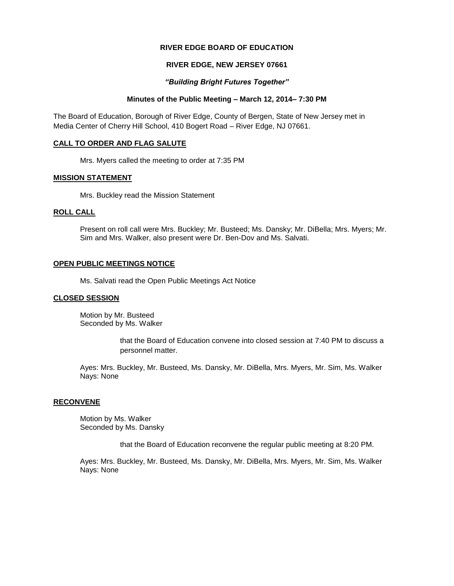## **RIVER EDGE BOARD OF EDUCATION**

## **RIVER EDGE, NEW JERSEY 07661**

## *"Building Bright Futures Together"*

## **Minutes of the Public Meeting – March 12, 2014– 7:30 PM**

The Board of Education, Borough of River Edge, County of Bergen, State of New Jersey met in Media Center of Cherry Hill School, 410 Bogert Road – River Edge, NJ 07661.

## **CALL TO ORDER AND FLAG SALUTE**

Mrs. Myers called the meeting to order at 7:35 PM

#### **MISSION STATEMENT**

Mrs. Buckley read the Mission Statement

## **ROLL CALL**

Present on roll call were Mrs. Buckley; Mr. Busteed; Ms. Dansky; Mr. DiBella; Mrs. Myers; Mr. Sim and Mrs. Walker, also present were Dr. Ben-Dov and Ms. Salvati.

#### **OPEN PUBLIC MEETINGS NOTICE**

Ms. Salvati read the Open Public Meetings Act Notice

#### **CLOSED SESSION**

Motion by Mr. Busteed Seconded by Ms. Walker

> that the Board of Education convene into closed session at 7:40 PM to discuss a personnel matter.

Ayes: Mrs. Buckley, Mr. Busteed, Ms. Dansky, Mr. DiBella, Mrs. Myers, Mr. Sim, Ms. Walker Nays: None

## **RECONVENE**

Motion by Ms. Walker Seconded by Ms. Dansky

that the Board of Education reconvene the regular public meeting at 8:20 PM.

Ayes: Mrs. Buckley, Mr. Busteed, Ms. Dansky, Mr. DiBella, Mrs. Myers, Mr. Sim, Ms. Walker Nays: None